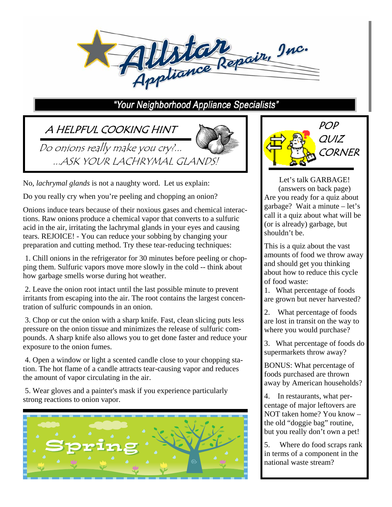

#### "Your Neighborhood Appliance Specialists"

# A HELPFUL COOKING HINT

Do onions really make you cry?... ...ASK YOUR LACHRYMAL GLANDS!



No, *lachrymal glands* is not a naughty word. Let us explain:

Do you really cry when you're peeling and chopping an onion?

Onions induce tears because of their noxious gases and chemical interactions. Raw onions produce a chemical vapor that converts to a sulfuric acid in the air, irritating the lachrymal glands in your eyes and causing tears. REJOICE! - You can reduce your sobbing by changing your preparation and cutting method. Try these tear-reducing techniques:

 1. Chill onions in the refrigerator for 30 minutes before peeling or chopping them. Sulfuric vapors move more slowly in the cold -- think about how garbage smells worse during hot weather.

 2. Leave the onion root intact until the last possible minute to prevent irritants from escaping into the air. The root contains the largest concentration of sulfuric compounds in an onion.

 3. Chop or cut the onion with a sharp knife. Fast, clean slicing puts less pressure on the onion tissue and minimizes the release of sulfuric compounds. A sharp knife also allows you to get done faster and reduce your exposure to the onion fumes.

 4. Open a window or light a scented candle close to your chopping station. The hot flame of a candle attracts tear-causing vapor and reduces the amount of vapor circulating in the air.

 5. Wear gloves and a painter's mask if you experience particularly strong reactions to onion vapor.





Let's talk GARBAGE! (answers on back page) Are you ready for a quiz about garbage? Wait a minute – let's call it a quiz about what will be (or is already) garbage, but shouldn't be.

This is a quiz about the vast amounts of food we throw away and should get you thinking about how to reduce this cycle of food waste:

1. What percentage of foods are grown but never harvested?

2. What percentage of foods are lost in transit on the way to where you would purchase?

3. What percentage of foods do supermarkets throw away?

BONUS: What percentage of foods purchased are thrown away by American households?

4. In restaurants, what percentage of major leftovers are NOT taken home? You know – the old "doggie bag" routine, but you really don't own a pet!

5. Where do food scraps rank in terms of a component in the national waste stream?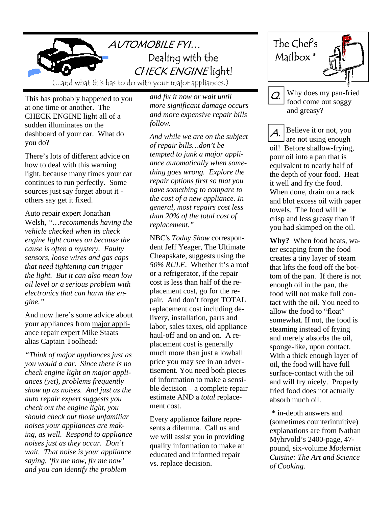

(...and what this has to do with your major appliances.)

This has probably happened to you at one time or another. The CHECK ENGINE light all of a sudden illuminates on the dashboard of your car. What do you do?

There's lots of different advice on how to deal with this warning light, because many times your car continues to run perfectly. Some sources just say forget about it others say get it fixed.

Auto repair expert Jonathan Welsh*, "…recommends having the vehicle checked when its check engine light comes on because the cause is often a mystery. Faulty sensors, loose wires and gas caps that need tightening can trigger the light. But it can also mean low oil level or a serious problem with electronics that can harm the engine."* 

And now here's some advice about your appliances from major appliance repair expert Mike Staats alias Captain Toolhead:

*"Think of major appliances just as you would a car. Since there is no check engine light on major appliances (yet), problems frequently show up as noises. And just as the auto repair expert suggests you check out the engine light, you should check out those unfamiliar noises your appliances are making, as well. Respond to appliance noises just as they occur. Don't wait. That noise is your appliance saying, 'fix me now, fix me now' and you can identify the problem* 

*and fix it now or wait until more significant damage occurs and more expensive repair bills follow.* 

*And while we are on the subject of repair bills…don't be tempted to junk a major appliance automatically when something goes wrong. Explore the repair options first so that you have something to compare to the cost of a new appliance. In general, most repairs cost less than 20% of the total cost of replacement."* 

NBC's *Today Show* correspondent Jeff Yeager, The Ultimate Cheapskate, suggests using the *50% RULE*. Whether it's a roof or a refrigerator, if the repair cost is less than half of the replacement cost, go for the repair. And don't forget TOTAL replacement cost including delivery, installation, parts and labor, sales taxes, old appliance haul-off and on and on. A replacement cost is generally much more than just a lowball price you may see in an advertisement. You need both pieces of information to make a sensible decision – a complete repair estimate AND a *total* replacement cost.

Every appliance failure represents a dilemma. Call us and we will assist you in providing quality information to make an educated and informed repair vs. replace decision.





Why does my pan-fried food come out soggy and greasy?

Believe it or not, you are not using enough oil! Before shallow-frying, pour oil into a pan that is equivalent to nearly half of the depth of your food. Heat it well and fry the food. When done, drain on a rack and blot excess oil with paper towels. The food will be crisp and less greasy than if you had skimped on the oil. A.

**Why?** When food heats, water escaping from the food creates a tiny layer of steam that lifts the food off the bottom of the pan. If there is not enough oil in the pan, the food will not make full contact with the oil. You need to allow the food to "float" somewhat. If not, the food is steaming instead of frying and merely absorbs the oil, sponge-like, upon contact. With a thick enough layer of oil, the food will have full surface-contact with the oil and will fry nicely. Properly fried food does not actually absorb much oil.

 \* in-depth answers and (sometimes counterintuitive) explanations are from Nathan Myhrvold's 2400-page, 47 pound, six-volume *Modernist Cuisine: The Art and Science of Cooking.*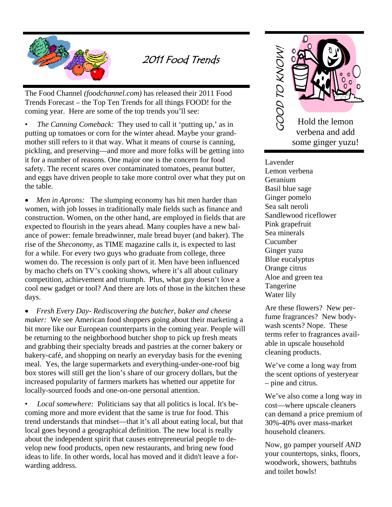

### 2011 Food Trends

The Food Channel *(foodchannel.com)* has released their 2011 Food Trends Forecast – the Top Ten Trends for all things FOOD! for the coming year. Here are some of the top trends you'll see:

*The Canning Comeback:* They used to call it 'putting up,' as in putting up tomatoes or corn for the winter ahead. Maybe your grandmother still refers to it that way. What it means of course is canning, pickling, and preserving—and more and more folks will be getting into it for a number of reasons. One major one is the concern for food safety. The recent scares over contaminated tomatoes, peanut butter, and eggs have driven people to take more control over what they put on the table.

• *Men in Aprons:* The slumping economy has hit men harder than women, with job losses in traditionally male fields such as finance and construction. Women, on the other hand, are employed in fields that are expected to flourish in the years ahead. Many couples have a new balance of power: female breadwinner, male bread buyer (and baker). The rise of the *Sheconomy*, as TIME magazine calls it, is expected to last for a while. For every two guys who graduate from college, three women do. The recession is only part of it. Men have been influenced by macho chefs on TV's cooking shows, where it's all about culinary competition, achievement and triumph. Plus, what guy doesn't love a cool new gadget or tool? And there are lots of those in the kitchen these days.

 *Fresh Every Day- Rediscovering the butcher, baker and cheese maker:* We see American food shoppers going about their marketing a bit more like our European counterparts in the coming year. People will be returning to the neighborhood butcher shop to pick up fresh meats and grabbing their specialty breads and pastries at the corner bakery or bakery-café, and shopping on nearly an everyday basis for the evening meal. Yes, the large supermarkets and everything-under-one-roof big box stores will still get the lion's share of our grocery dollars, but the increased popularity of farmers markets has whetted our appetite for locally-sourced foods and one-on-one personal attention.

• *Local somewhere:* Politicians say that all politics is local. It's becoming more and more evident that the same is true for food. This trend understands that mindset—that it's all about eating local, but that local goes beyond a geographical definition. The new local is really about the independent spirit that causes entrepreneurial people to develop new food products, open new restaurants, and bring new food ideas to life. In other words, local has moved and it didn't leave a forwarding address.



Lavender Lemon verbena Geranium Basil blue sage Ginger pomelo Sea salt neroli Sandlewood riceflower Pink grapefruit Sea minerals Cucumber Ginger yuzu Blue eucalyptus Orange citrus Aloe and green tea Tangerine Water lily

Are these flowers? New perfume fragrances? New bodywash scents? Nope. These terms refer to fragrances available in upscale household cleaning products.

We've come a long way from the scent options of yesteryear – pine and citrus.

We've also come a long way in cost—where upscale cleaners can demand a price premium of 30%-40% over mass-market household cleaners.

Now, go pamper yourself *AND*  your countertops, sinks, floors, woodwork, showers, bathtubs and toilet bowls!